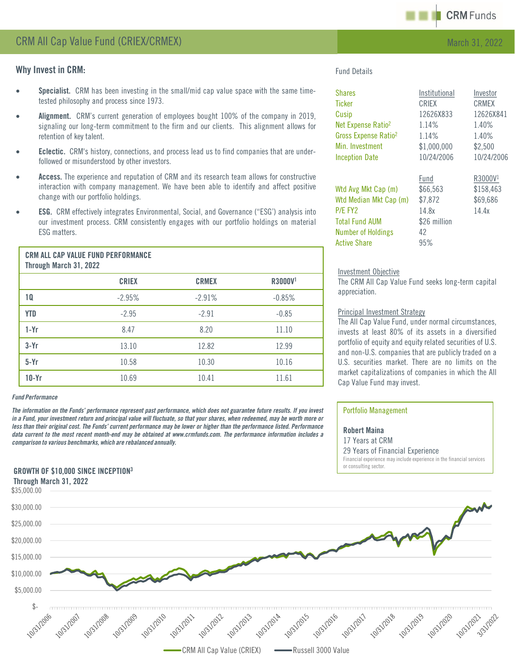

# Why Invest in CRM:

- Specialist. CRM has been investing in the small/mid cap value space with the same timetested philosophy and process since 1973.
- Alignment. CRM's current generation of employees bought 100% of the company in 2019, signaling our long-term commitment to the firm and our clients. This alignment allows for retention of key talent.
- Eclectic. CRM's history, connections, and process lead us to find companies that are underfollowed or misunderstood by other investors.
- Access. The experience and reputation of CRM and its research team allows for constructive interaction with company management. We have been able to identify and affect positive change with our portfolio holdings.
- ESG. CRM effectively integrates Environmental, Social, and Governance ("ESG') analysis into our investment process. CRM consistently engages with our portfolio holdings on material ESG matters.

| <b>CRM ALL CAP VALUE FUND PERFORMANCE</b><br>Through March 31, 2022 |              |              |                     |  |
|---------------------------------------------------------------------|--------------|--------------|---------------------|--|
|                                                                     | <b>CRIEX</b> | <b>CRMEX</b> | R3000V <sup>1</sup> |  |
| 10                                                                  | $-2.95%$     | $-2.91%$     | $-0.85%$            |  |
| <b>YTD</b>                                                          | $-2.95$      | $-2.91$      | $-0.85$             |  |
| $1-Yr$                                                              | 8.47         | 8.20         | 11.10               |  |
| $3-Yr$                                                              | 13.10        | 12.82        | 12.99               |  |
| $5-Yr$                                                              | 10.58        | 10.30        | 10.16               |  |
| $10-Yr$                                                             | 10.69        | 10.41        | 11.61               |  |

#### *Fund Performance*

The information on the Funds' performance represent past performance, which does not guarantee future results. If you invest in a Fund, your investment return and principal value will fluctuate, so that your shares, when redeemed, may be worth more or less than their original cost. The Funds' current performance may be lower or higher than the performance listed. Performance data current to the most recent month-end may be obtained at www.crmfunds.com. The performance information includes a *comparison to various benchmarks, which are rebalanced annually.*

## GROWTH OF \$10,000 SINCE INCEPTION3

## Fund Details

| <b>Shares</b>                    | Institutional | Investor            |
|----------------------------------|---------------|---------------------|
| <b>Ticker</b>                    | CRIEX         | <b>CRMEX</b>        |
| Cusip                            | 12626X833     | 12626X841           |
| Net Expense Ratio <sup>2</sup>   | 1.14%         | 1.40%               |
| Gross Expense Ratio <sup>2</sup> | 1.14%         | 1.40%               |
| Min. Investment                  | \$1,000,000   | \$2,500             |
| <b>Inception Date</b>            | 10/24/2006    | 10/24/2006          |
|                                  | Fund          | R3000V <sup>1</sup> |
| Wtd Avg Mkt Cap (m)              | \$66,563      | \$158,463           |
| Wtd Median Mkt Cap (m)           | \$7,872       | \$69,686            |
| P/E FY2                          | 14.8x         | 14.4x               |
| <b>Total Fund AUM</b>            | \$26 million  |                     |
| <b>Number of Holdings</b>        | 42            |                     |
| <b>Active Share</b>              | 95%           |                     |

### Investment Objective

The CRM All Cap Value Fund seeks long-term capital appreciation.

### Principal Investment Strategy

The All Cap Value Fund, under normal circumstances, invests at least 80% of its assets in a diversified portfolio of equity and equity related securities of U.S. and non-U.S. companies that are publicly traded on a U.S. securities market. There are no limits on the market capitalizations of companies in which the All Cap Value Fund may invest.

### Portfolio Management

Robert Maina 17 Years at CRM 29 Years of Financial Experience Financial experience may include experience in the financial services or consulting sector.